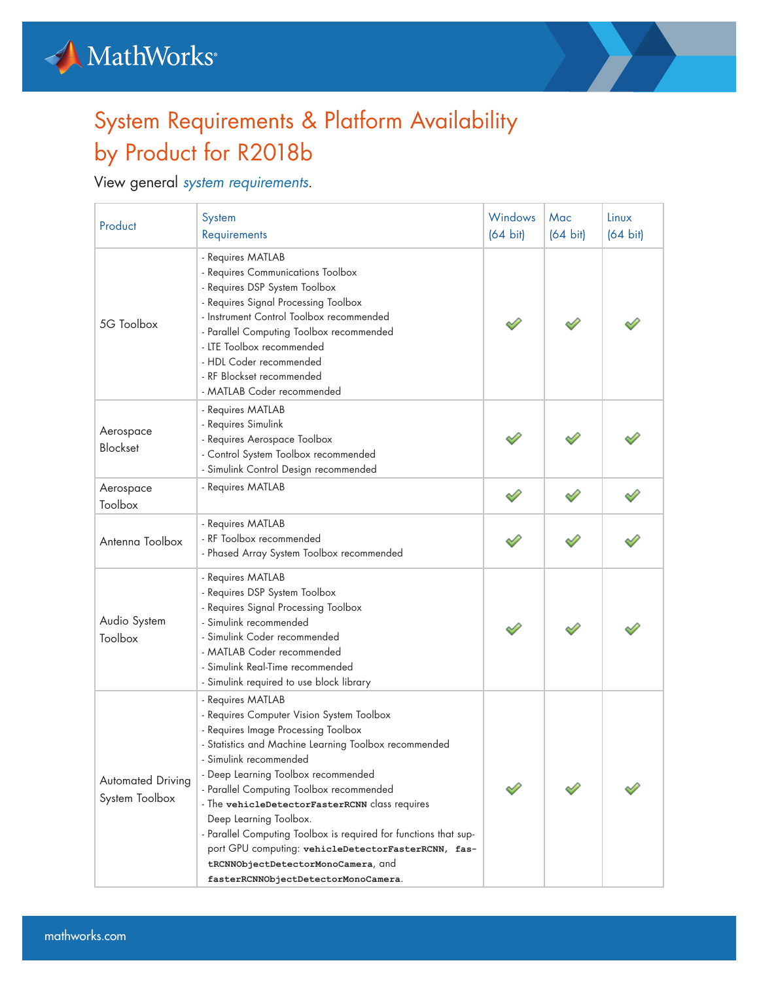



## System Requirements & Platform Availability by Product for R2018b

## View general *[system requirements](https://www.mathworks.com/support/sysreq/previous_releases.html)*.

| Product                                    | System<br>Requirements                                                                                                                                                                                                                                                                                                                                                                                                                                                                                                                                          | Windows<br>$(64 \text{ bit})$ | Mac<br>$(64 \text{ bit})$ | Linux<br>$(64 \text{ bit})$ |
|--------------------------------------------|-----------------------------------------------------------------------------------------------------------------------------------------------------------------------------------------------------------------------------------------------------------------------------------------------------------------------------------------------------------------------------------------------------------------------------------------------------------------------------------------------------------------------------------------------------------------|-------------------------------|---------------------------|-----------------------------|
| 5G Toolbox                                 | - Requires MATLAB<br>- Requires Communications Toolbox<br>- Requires DSP System Toolbox<br>- Requires Signal Processing Toolbox<br>- Instrument Control Toolbox recommended<br>- Parallel Computing Toolbox recommended<br>- LTE Toolbox recommended<br>- HDL Coder recommended<br>- RF Blockset recommended<br>- MATLAB Coder recommended                                                                                                                                                                                                                      |                               |                           |                             |
| Aerospace<br><b>Blockset</b>               | - Requires MATLAB<br>- Requires Simulink<br>- Requires Aerospace Toolbox<br>- Control System Toolbox recommended<br>- Simulink Control Design recommended                                                                                                                                                                                                                                                                                                                                                                                                       |                               |                           |                             |
| Aerospace<br>Toolbox                       | - Requires MATLAB                                                                                                                                                                                                                                                                                                                                                                                                                                                                                                                                               |                               |                           |                             |
| Antenna Toolbox                            | - Requires MATLAB<br>- RF Toolbox recommended<br>- Phased Array System Toolbox recommended                                                                                                                                                                                                                                                                                                                                                                                                                                                                      |                               |                           |                             |
| Audio System<br>Toolbox                    | - Requires MATLAB<br>- Requires DSP System Toolbox<br>- Requires Signal Processing Toolbox<br>- Simulink recommended<br>- Simulink Coder recommended<br>- MATLAB Coder recommended<br>- Simulink Real-Time recommended<br>- Simulink required to use block library                                                                                                                                                                                                                                                                                              |                               |                           |                             |
| <b>Automated Driving</b><br>System Toolbox | - Requires MATLAB<br>- Requires Computer Vision System Toolbox<br>- Requires Image Processing Toolbox<br>- Statistics and Machine Learning Toolbox recommended<br>- Simulink recommended<br>- Deep Learning Toolbox recommended<br>- Parallel Computing Toolbox recommended<br>- The vehicleDetectorFasterRCNN class requires<br>Deep Learning Toolbox.<br>- Parallel Computing Toolbox is required for functions that sup-<br>port GPU computing: vehicleDetectorFasterRCNN, fas-<br>tRCNNObjectDetectorMonoCamera, and<br>fasterRCNNObjectDetectorMonoCamera. |                               |                           |                             |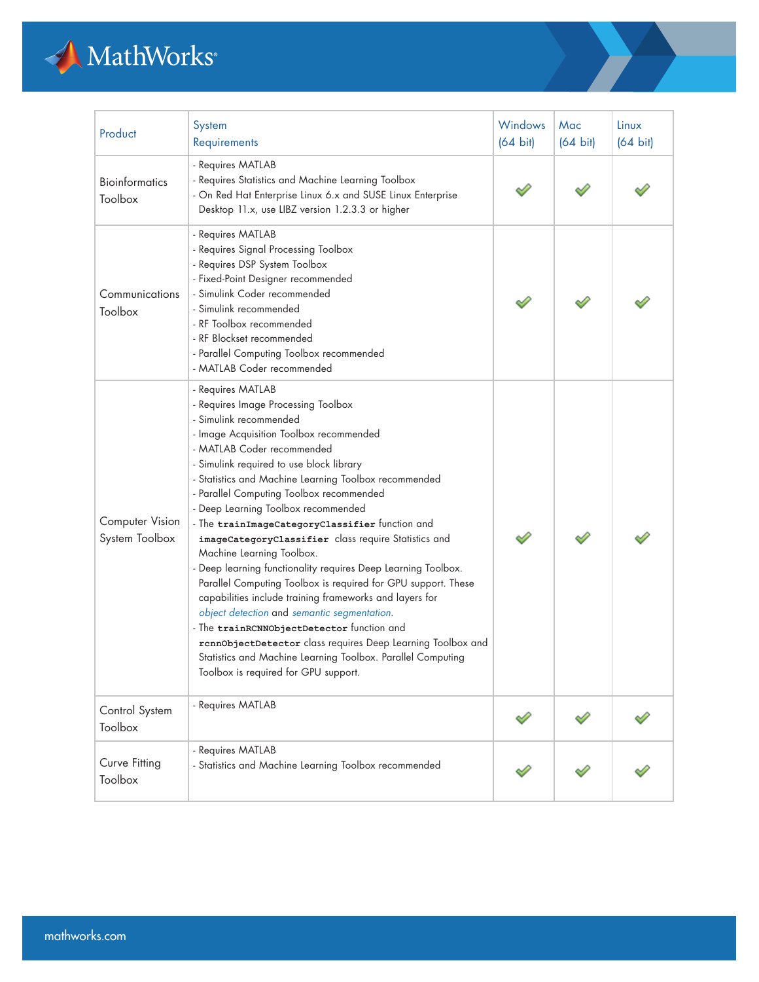## MathWorks

| Product                           | System<br>Requirements                                                                                                                                                                                                                                                                                                                                                                                                                                                                                                                                                                                                                                                                                                                                                                                                                                                                                                                                      | <b>Windows</b><br>$(64 \text{ bit})$ | Mac<br>$(64 \text{ bit})$ | Linux<br>$(64 \text{ bit})$ |
|-----------------------------------|-------------------------------------------------------------------------------------------------------------------------------------------------------------------------------------------------------------------------------------------------------------------------------------------------------------------------------------------------------------------------------------------------------------------------------------------------------------------------------------------------------------------------------------------------------------------------------------------------------------------------------------------------------------------------------------------------------------------------------------------------------------------------------------------------------------------------------------------------------------------------------------------------------------------------------------------------------------|--------------------------------------|---------------------------|-----------------------------|
| <b>Bioinformatics</b><br>Toolbox  | - Requires MATLAB<br>- Requires Statistics and Machine Learning Toolbox<br>- On Red Hat Enterprise Linux 6.x and SUSE Linux Enterprise<br>Desktop 11.x, use LIBZ version 1.2.3.3 or higher                                                                                                                                                                                                                                                                                                                                                                                                                                                                                                                                                                                                                                                                                                                                                                  |                                      |                           |                             |
| Communications<br>Toolbox         | - Requires MATLAB<br>- Requires Signal Processing Toolbox<br>- Requires DSP System Toolbox<br>- Fixed-Point Designer recommended<br>- Simulink Coder recommended<br>- Simulink recommended<br>- RF Toolbox recommended<br>- RF Blockset recommended<br>- Parallel Computing Toolbox recommended<br>- MATLAB Coder recommended                                                                                                                                                                                                                                                                                                                                                                                                                                                                                                                                                                                                                               |                                      |                           |                             |
| Computer Vision<br>System Toolbox | - Requires MATLAB<br>- Requires Image Processing Toolbox<br>- Simulink recommended<br>- Image Acquisition Toolbox recommended<br>- MATLAB Coder recommended<br>- Simulink required to use block library<br>- Statistics and Machine Learning Toolbox recommended<br>- Parallel Computing Toolbox recommended<br>- Deep Learning Toolbox recommended<br>- The trainImageCategoryClassifier function and<br>imageCategoryClassifier class require Statistics and<br>Machine Learning Toolbox.<br>- Deep learning functionality requires Deep Learning Toolbox.<br>Parallel Computing Toolbox is required for GPU support. These<br>capabilities include training frameworks and layers for<br>object detection and semantic segmentation.<br>- The trainRCNNObjectDetector function and<br>rcnnObjectDetector class requires Deep Learning Toolbox and<br>Statistics and Machine Learning Toolbox. Parallel Computing<br>Toolbox is required for GPU support. |                                      |                           |                             |
| Control System<br>Toolbox         | - Requires MATLAB                                                                                                                                                                                                                                                                                                                                                                                                                                                                                                                                                                                                                                                                                                                                                                                                                                                                                                                                           |                                      |                           |                             |
| Curve Fitting<br>Toolbox          | - Requires MATLAB<br>- Statistics and Machine Learning Toolbox recommended                                                                                                                                                                                                                                                                                                                                                                                                                                                                                                                                                                                                                                                                                                                                                                                                                                                                                  |                                      |                           |                             |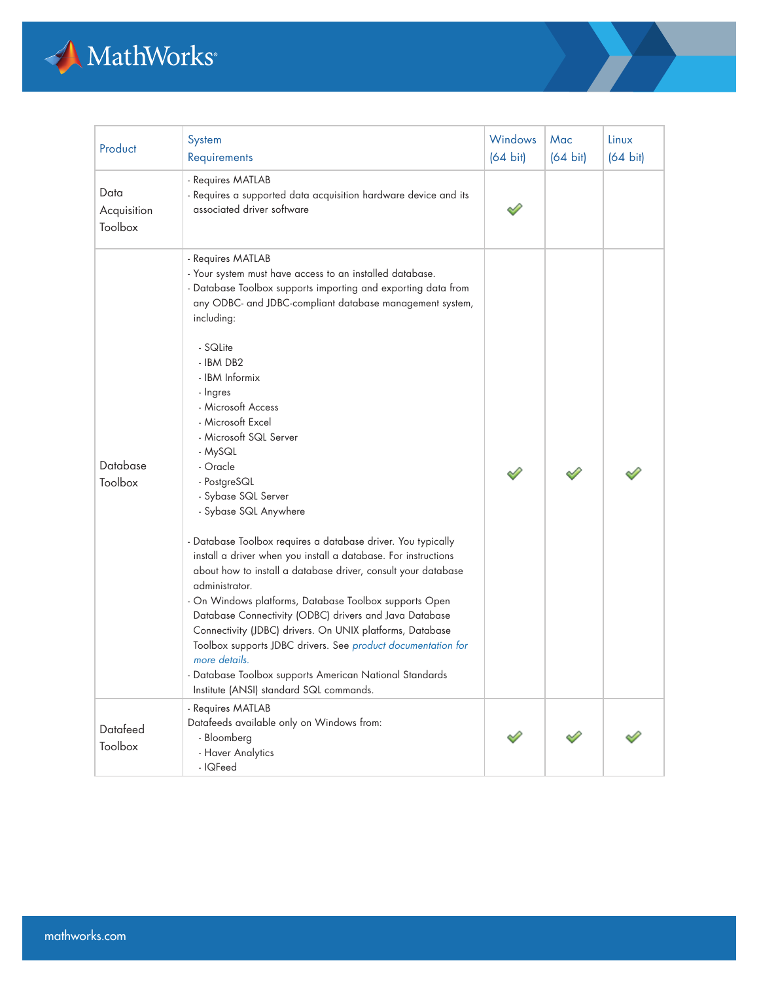

| Product                        | System<br>Requirements                                                                                                                                                                                                                                                                                                                                                                                                                                                                                                                                                                                                                                                                                                                                                                                                                                                                                                                                                                                                                  | Windows<br>$(64 \text{ bit})$ | Mac<br>$(64 \text{ bit})$ | Linux<br>$(64 \text{ bit})$ |
|--------------------------------|-----------------------------------------------------------------------------------------------------------------------------------------------------------------------------------------------------------------------------------------------------------------------------------------------------------------------------------------------------------------------------------------------------------------------------------------------------------------------------------------------------------------------------------------------------------------------------------------------------------------------------------------------------------------------------------------------------------------------------------------------------------------------------------------------------------------------------------------------------------------------------------------------------------------------------------------------------------------------------------------------------------------------------------------|-------------------------------|---------------------------|-----------------------------|
| Data<br>Acquisition<br>Toolbox | - Requires MATLAB<br>- Requires a supported data acquisition hardware device and its<br>associated driver software                                                                                                                                                                                                                                                                                                                                                                                                                                                                                                                                                                                                                                                                                                                                                                                                                                                                                                                      |                               |                           |                             |
| Database<br>Toolbox            | - Requires MATLAB<br>- Your system must have access to an installed database.<br>- Database Toolbox supports importing and exporting data from<br>any ODBC- and JDBC-compliant database management system,<br>including:<br>- SQLite<br>- IBM DB2<br>- IBM Informix<br>- Ingres<br>- Microsoft Access<br>- Microsoft Excel<br>- Microsoft SQL Server<br>- MySQL<br>- Oracle<br>- PostgreSQL<br>- Sybase SQL Server<br>- Sybase SQL Anywhere<br>- Database Toolbox requires a database driver. You typically<br>install a driver when you install a database. For instructions<br>about how to install a database driver, consult your database<br>administrator.<br>- On Windows platforms, Database Toolbox supports Open<br>Database Connectivity (ODBC) drivers and Java Database<br>Connectivity (JDBC) drivers. On UNIX platforms, Database<br>Toolbox supports JDBC drivers. See product documentation for<br>more details.<br>- Database Toolbox supports American National Standards<br>Institute (ANSI) standard SQL commands. |                               |                           |                             |
| Datafeed<br>Toolbox            | - Requires MATLAB<br>Datafeeds available only on Windows from:<br>- Bloomberg<br>- Haver Analytics<br>- IQFeed                                                                                                                                                                                                                                                                                                                                                                                                                                                                                                                                                                                                                                                                                                                                                                                                                                                                                                                          |                               |                           |                             |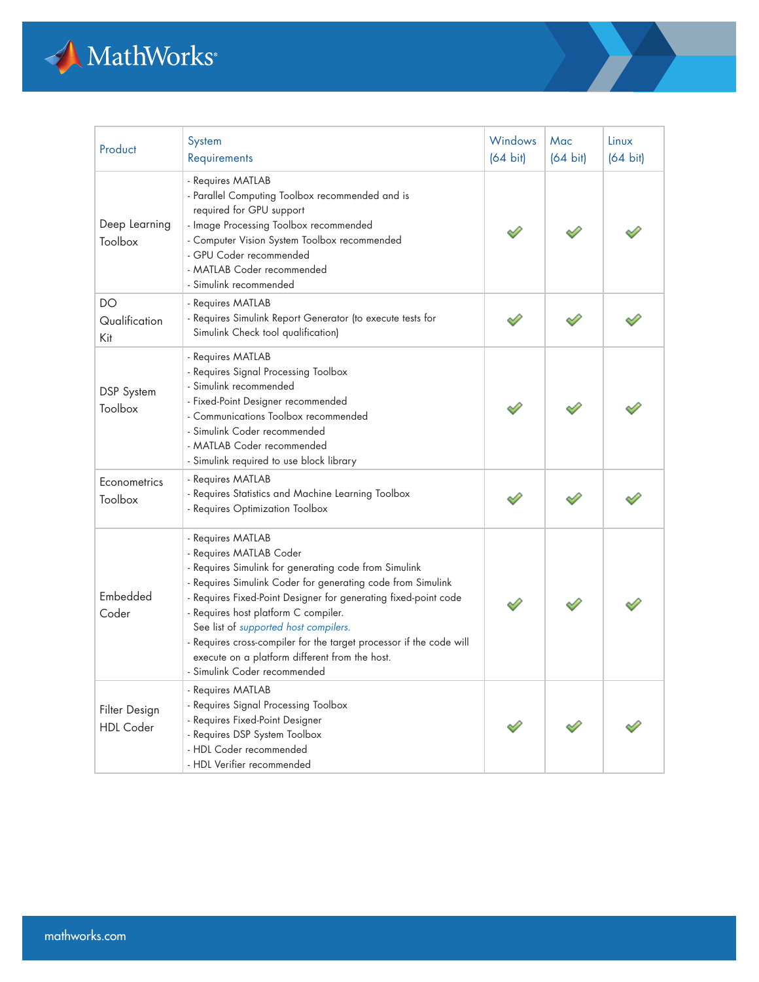

| Product                           | System<br>Requirements                                                                                                                                                                                                                                                                                                                                                                                                                                                            | Windows<br>$(64 \text{ bit})$ | Mac<br>$(64 \text{ bit})$ | Linux<br>$(64 \text{ bit})$ |
|-----------------------------------|-----------------------------------------------------------------------------------------------------------------------------------------------------------------------------------------------------------------------------------------------------------------------------------------------------------------------------------------------------------------------------------------------------------------------------------------------------------------------------------|-------------------------------|---------------------------|-----------------------------|
| Deep Learning<br>Toolbox          | - Requires MATLAB<br>- Parallel Computing Toolbox recommended and is<br>required for GPU support<br>- Image Processing Toolbox recommended<br>- Computer Vision System Toolbox recommended<br>- GPU Coder recommended<br>- MATLAB Coder recommended<br>- Simulink recommended                                                                                                                                                                                                     |                               |                           |                             |
| DO<br>Qualification<br>Kit        | - Requires MATLAB<br>- Requires Simulink Report Generator (to execute tests for<br>Simulink Check tool qualification)                                                                                                                                                                                                                                                                                                                                                             |                               |                           |                             |
| DSP System<br>Toolbox             | - Requires MATLAB<br>- Requires Signal Processing Toolbox<br>- Simulink recommended<br>- Fixed-Point Designer recommended<br>- Communications Toolbox recommended<br>- Simulink Coder recommended<br>- MATLAB Coder recommended<br>- Simulink required to use block library                                                                                                                                                                                                       |                               |                           |                             |
| Econometrics<br>Toolbox           | - Requires MATLAB<br>- Requires Statistics and Machine Learning Toolbox<br>- Requires Optimization Toolbox                                                                                                                                                                                                                                                                                                                                                                        |                               |                           |                             |
| Embedded<br>Coder                 | - Requires MATLAB<br>- Requires MATLAB Coder<br>- Requires Simulink for generating code from Simulink<br>- Requires Simulink Coder for generating code from Simulink<br>- Requires Fixed-Point Designer for generating fixed-point code<br>- Requires host platform C compiler.<br>See list of supported host compilers.<br>- Requires cross-compiler for the target processor if the code will<br>execute on a platform different from the host.<br>- Simulink Coder recommended |                               |                           |                             |
| Filter Design<br><b>HDL Coder</b> | - Requires MATLAB<br>- Requires Signal Processing Toolbox<br>- Requires Fixed-Point Designer<br>- Requires DSP System Toolbox<br>- HDL Coder recommended<br>- HDL Verifier recommended                                                                                                                                                                                                                                                                                            |                               |                           |                             |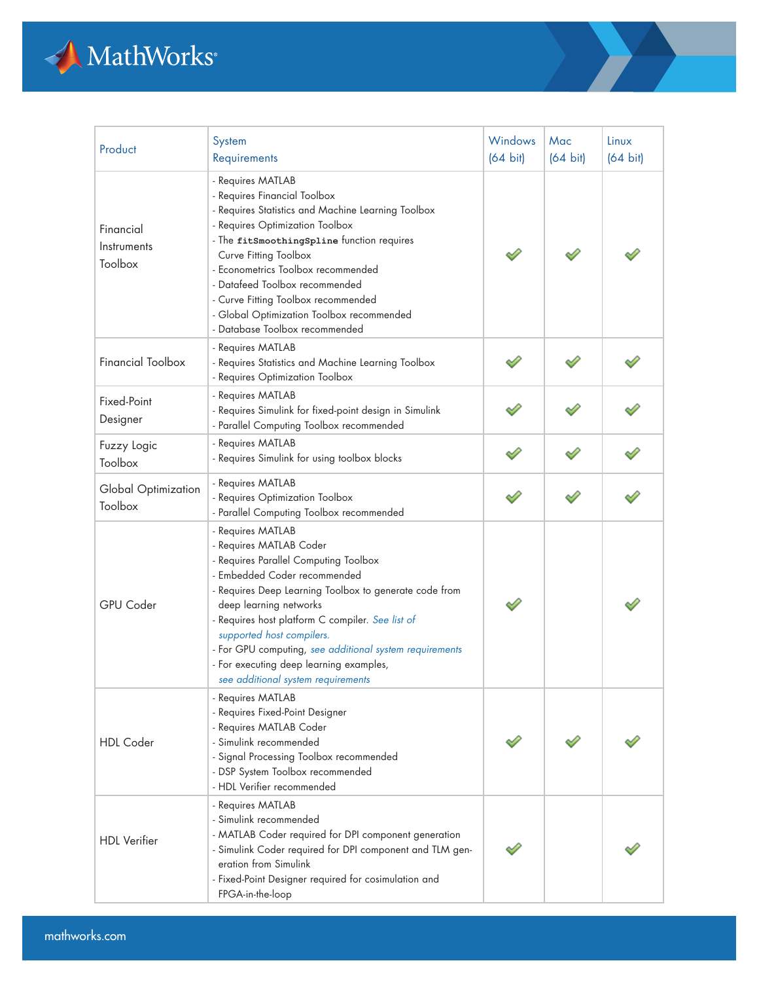

| Product                             | System<br>Requirements                                                                                                                                                                                                                                                                                                                                                                                                                 | <b>Windows</b><br>$(64 \text{ bit})$ | Mac<br>$(64 \text{ bit})$ | Linux<br>$(64 \text{ bit})$ |
|-------------------------------------|----------------------------------------------------------------------------------------------------------------------------------------------------------------------------------------------------------------------------------------------------------------------------------------------------------------------------------------------------------------------------------------------------------------------------------------|--------------------------------------|---------------------------|-----------------------------|
| Financial<br>Instruments<br>Toolbox | - Requires MATLAB<br>- Requires Financial Toolbox<br>- Requires Statistics and Machine Learning Toolbox<br>- Requires Optimization Toolbox<br>- The fitSmoothingSpline function requires<br>Curve Fitting Toolbox<br>- Econometrics Toolbox recommended<br>- Datafeed Toolbox recommended<br>- Curve Fitting Toolbox recommended<br>- Global Optimization Toolbox recommended<br>- Database Toolbox recommended                        |                                      |                           |                             |
| <b>Financial Toolbox</b>            | - Requires MATLAB<br>- Requires Statistics and Machine Learning Toolbox<br>- Requires Optimization Toolbox                                                                                                                                                                                                                                                                                                                             |                                      |                           |                             |
| Fixed-Point<br>Designer             | - Requires MATLAB<br>- Requires Simulink for fixed-point design in Simulink<br>- Parallel Computing Toolbox recommended                                                                                                                                                                                                                                                                                                                |                                      |                           |                             |
| Fuzzy Logic<br>Toolbox              | - Requires MATLAB<br>- Requires Simulink for using toolbox blocks                                                                                                                                                                                                                                                                                                                                                                      |                                      |                           |                             |
| Global Optimization<br>Toolbox      | - Requires MATLAB<br>- Requires Optimization Toolbox<br>- Parallel Computing Toolbox recommended                                                                                                                                                                                                                                                                                                                                       |                                      |                           |                             |
| <b>GPU Coder</b>                    | - Requires MATLAB<br>- Requires MATLAB Coder<br>- Requires Parallel Computing Toolbox<br>- Embedded Coder recommended<br>- Requires Deep Learning Toolbox to generate code from<br>deep learning networks<br>- Requires host platform C compiler. See list of<br>supported host compilers.<br>- For GPU computing, see additional system requirements<br>- For executing deep learning examples,<br>see additional system requirements |                                      |                           |                             |
| <b>HDL</b> Coder                    | - Requires MATLAB<br>- Requires Fixed-Point Designer<br>- Requires MATLAB Coder<br>- Simulink recommended<br>- Signal Processing Toolbox recommended<br>- DSP System Toolbox recommended<br>- HDL Verifier recommended                                                                                                                                                                                                                 |                                      |                           |                             |
| <b>HDL</b> Verifier                 | - Requires MATLAB<br>- Simulink recommended<br>- MATLAB Coder required for DPI component generation<br>- Simulink Coder required for DPI component and TLM gen-<br>eration from Simulink<br>- Fixed-Point Designer required for cosimulation and<br>FPGA-in-the-loop                                                                                                                                                                   |                                      |                           |                             |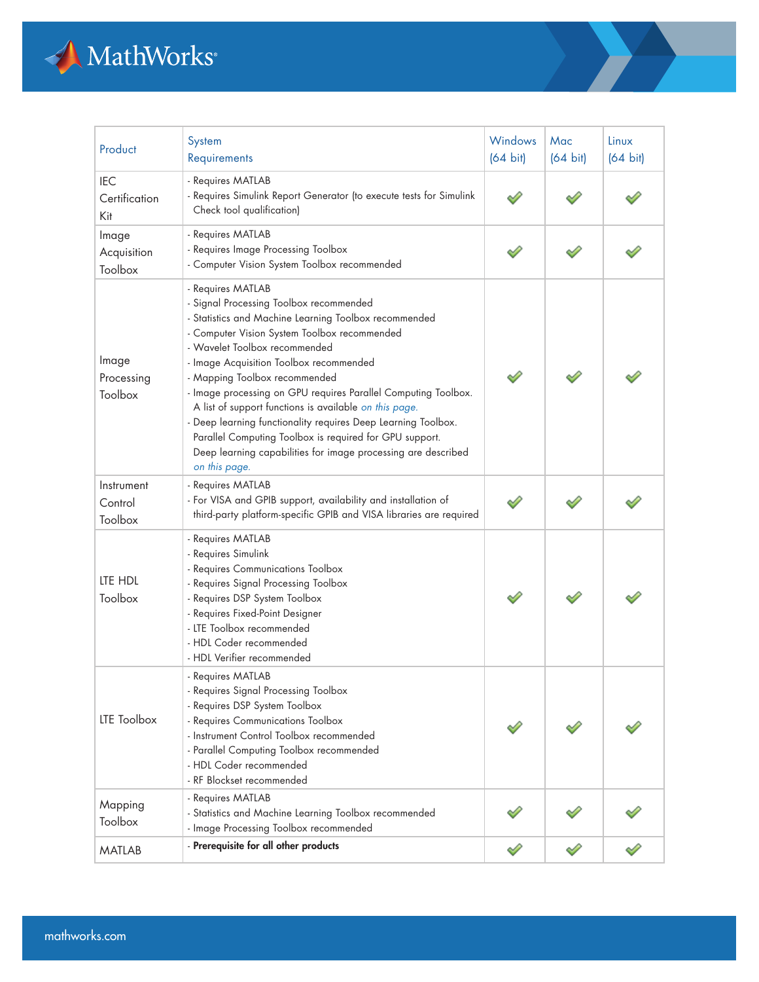

| Product                            | System<br>Requirements                                                                                                                                                                                                                                                                                                                                                                                                                                                                                                                                                                                                       | Windows<br>$(64 \text{ bit})$ | Mac<br>$(64 \text{ bit})$ | Linux<br>$(64 \text{ bit})$ |
|------------------------------------|------------------------------------------------------------------------------------------------------------------------------------------------------------------------------------------------------------------------------------------------------------------------------------------------------------------------------------------------------------------------------------------------------------------------------------------------------------------------------------------------------------------------------------------------------------------------------------------------------------------------------|-------------------------------|---------------------------|-----------------------------|
| <b>IEC</b><br>Certification<br>Kit | - Requires MATLAB<br>- Requires Simulink Report Generator (to execute tests for Simulink<br>Check tool qualification)                                                                                                                                                                                                                                                                                                                                                                                                                                                                                                        |                               |                           |                             |
| Image<br>Acquisition<br>Toolbox    | - Requires MATLAB<br>- Requires Image Processing Toolbox<br>- Computer Vision System Toolbox recommended                                                                                                                                                                                                                                                                                                                                                                                                                                                                                                                     |                               |                           |                             |
| Image<br>Processing<br>Toolbox     | - Requires MATLAB<br>- Signal Processing Toolbox recommended<br>- Statistics and Machine Learning Toolbox recommended<br>- Computer Vision System Toolbox recommended<br>- Wavelet Toolbox recommended<br>- Image Acquisition Toolbox recommended<br>- Mapping Toolbox recommended<br>- Image processing on GPU requires Parallel Computing Toolbox.<br>A list of support functions is available on this page.<br>- Deep learning functionality requires Deep Learning Toolbox.<br>Parallel Computing Toolbox is required for GPU support.<br>Deep learning capabilities for image processing are described<br>on this page. |                               |                           |                             |
| Instrument<br>Control<br>Toolbox   | - Requires MATLAB<br>- For VISA and GPIB support, availability and installation of<br>third-party platform-specific GPIB and VISA libraries are required                                                                                                                                                                                                                                                                                                                                                                                                                                                                     |                               |                           |                             |
| LTE HDL<br>Toolbox                 | - Requires MATLAB<br>- Requires Simulink<br>- Requires Communications Toolbox<br>- Requires Signal Processing Toolbox<br>- Requires DSP System Toolbox<br>- Requires Fixed-Point Designer<br>- LTE Toolbox recommended<br>- HDL Coder recommended<br>- HDL Verifier recommended                                                                                                                                                                                                                                                                                                                                              |                               |                           |                             |
| <b>LTE Toolbox</b>                 | - Requires MATLAB<br>- Requires Signal Processing Toolbox<br>- Requires DSP System Toolbox<br>- Requires Communications Toolbox<br>- Instrument Control Toolbox recommended<br>- Parallel Computing Toolbox recommended<br>- HDL Coder recommended<br>- RF Blockset recommended                                                                                                                                                                                                                                                                                                                                              |                               |                           |                             |
| Mapping<br>Toolbox                 | - Requires MATLAB<br>- Statistics and Machine Learning Toolbox recommended<br>- Image Processing Toolbox recommended                                                                                                                                                                                                                                                                                                                                                                                                                                                                                                         |                               |                           |                             |
| <b>MATLAB</b>                      | - Prerequisite for all other products                                                                                                                                                                                                                                                                                                                                                                                                                                                                                                                                                                                        |                               |                           |                             |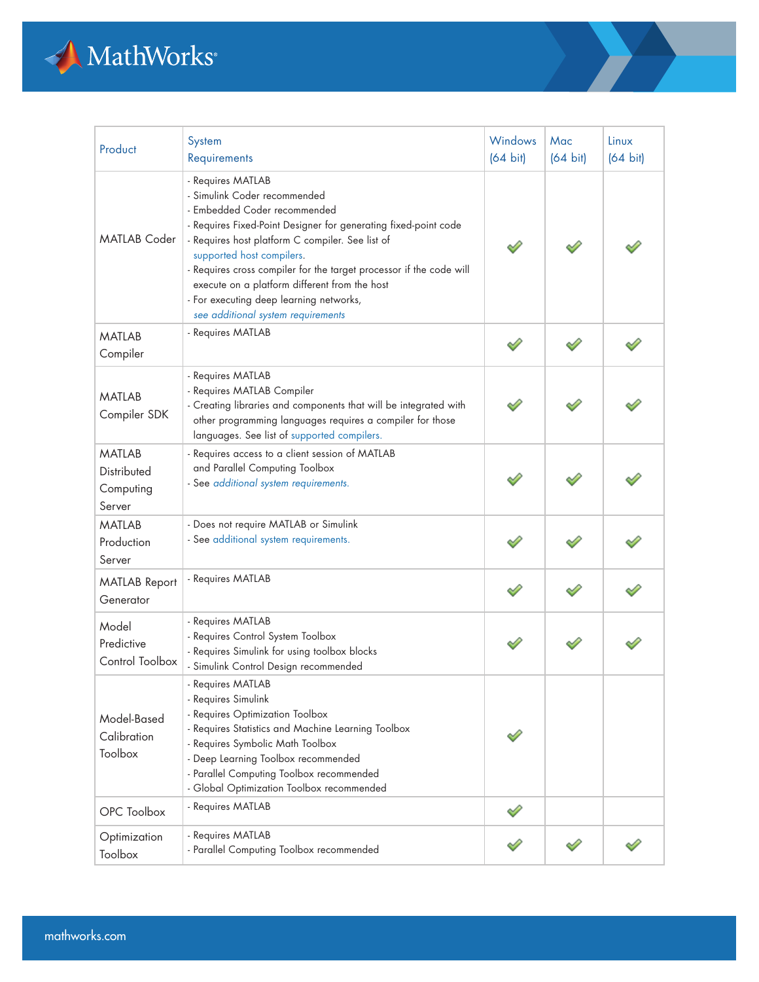

| Product                                              | System<br>Requirements                                                                                                                                                                                                                                                                                                                                                                                                                         | Windows<br>$(64 \text{ bit})$ | Mac<br>$(64 \text{ bit})$ | Linux<br>$(64 \text{ bit})$ |
|------------------------------------------------------|------------------------------------------------------------------------------------------------------------------------------------------------------------------------------------------------------------------------------------------------------------------------------------------------------------------------------------------------------------------------------------------------------------------------------------------------|-------------------------------|---------------------------|-----------------------------|
| <b>MATLAB Coder</b>                                  | - Requires MATLAB<br>- Simulink Coder recommended<br>- Embedded Coder recommended<br>- Requires Fixed-Point Designer for generating fixed-point code<br>- Requires host platform C compiler. See list of<br>supported host compilers.<br>- Requires cross compiler for the target processor if the code will<br>execute on a platform different from the host<br>- For executing deep learning networks,<br>see additional system requirements |                               |                           |                             |
| <b>MATLAB</b><br>Compiler                            | - Requires MATLAB                                                                                                                                                                                                                                                                                                                                                                                                                              |                               |                           |                             |
| <b>MATLAB</b><br>Compiler SDK                        | - Requires MATLAB<br>- Requires MATLAB Compiler<br>- Creating libraries and components that will be integrated with<br>other programming languages requires a compiler for those<br>languages. See list of supported compilers.                                                                                                                                                                                                                |                               |                           |                             |
| <b>MATI AB</b><br>Distributed<br>Computing<br>Server | - Requires access to a client session of MATLAB<br>and Parallel Computing Toolbox<br>- See additional system requirements.                                                                                                                                                                                                                                                                                                                     |                               |                           |                             |
| <b>MATLAB</b><br>Production<br>Server                | - Does not require MATLAB or Simulink<br>- See additional system requirements.                                                                                                                                                                                                                                                                                                                                                                 |                               |                           |                             |
| <b>MATLAB Report</b><br>Generator                    | - Requires MATLAB                                                                                                                                                                                                                                                                                                                                                                                                                              |                               |                           |                             |
| Model<br>Predictive<br>Control Toolbox               | - Requires MATLAB<br>- Requires Control System Toolbox<br>- Requires Simulink for using toolbox blocks<br>- Simulink Control Design recommended                                                                                                                                                                                                                                                                                                |                               |                           |                             |
| Model-Based<br>Calibration<br>Toolbox                | - Requires MATLAB<br>- Requires Simulink<br>- Requires Optimization Toolbox<br>- Requires Statistics and Machine Learning Toolbox<br>- Requires Symbolic Math Toolbox<br>- Deep Learning Toolbox recommended<br>- Parallel Computing Toolbox recommended<br>- Global Optimization Toolbox recommended                                                                                                                                          |                               |                           |                             |
| OPC Toolbox                                          | - Requires MATLAB                                                                                                                                                                                                                                                                                                                                                                                                                              |                               |                           |                             |
| Optimization<br>Toolbox                              | - Requires MATLAB<br>- Parallel Computing Toolbox recommended                                                                                                                                                                                                                                                                                                                                                                                  |                               |                           |                             |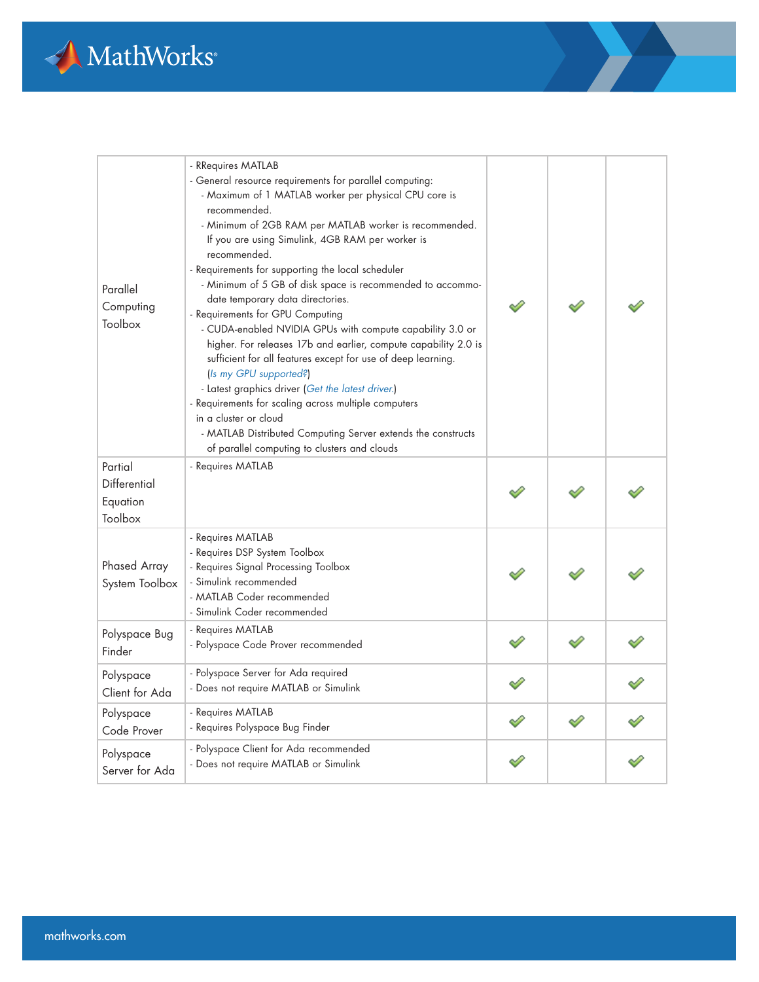

| Parallel<br>Computing<br>Toolbox                      | - RRequires MATLAB<br>- General resource requirements for parallel computing:<br>- Maximum of 1 MATLAB worker per physical CPU core is<br>recommended.<br>- Minimum of 2GB RAM per MATLAB worker is recommended.<br>If you are using Simulink, 4GB RAM per worker is<br>recommended.<br>- Requirements for supporting the local scheduler<br>- Minimum of 5 GB of disk space is recommended to accommo-<br>date temporary data directories.<br>- Requirements for GPU Computing<br>- CUDA-enabled NVIDIA GPUs with compute capability 3.0 or<br>higher. For releases 17b and earlier, compute capability 2.0 is<br>sufficient for all features except for use of deep learning.<br>(Is my GPU supported?)<br>- Latest graphics driver (Get the latest driver.)<br>- Requirements for scaling across multiple computers<br>in a cluster or cloud<br>- MATLAB Distributed Computing Server extends the constructs<br>of parallel computing to clusters and clouds |  |  |
|-------------------------------------------------------|-----------------------------------------------------------------------------------------------------------------------------------------------------------------------------------------------------------------------------------------------------------------------------------------------------------------------------------------------------------------------------------------------------------------------------------------------------------------------------------------------------------------------------------------------------------------------------------------------------------------------------------------------------------------------------------------------------------------------------------------------------------------------------------------------------------------------------------------------------------------------------------------------------------------------------------------------------------------|--|--|
| Partial<br><b>Differential</b><br>Equation<br>Toolbox | - Requires MATLAB                                                                                                                                                                                                                                                                                                                                                                                                                                                                                                                                                                                                                                                                                                                                                                                                                                                                                                                                               |  |  |
| Phased Array<br>System Toolbox                        | - Requires MATLAB<br>- Requires DSP System Toolbox<br>- Requires Signal Processing Toolbox<br>- Simulink recommended<br>- MATLAB Coder recommended<br>- Simulink Coder recommended                                                                                                                                                                                                                                                                                                                                                                                                                                                                                                                                                                                                                                                                                                                                                                              |  |  |
| Polyspace Bug<br>Finder                               | - Requires MATLAB<br>- Polyspace Code Prover recommended                                                                                                                                                                                                                                                                                                                                                                                                                                                                                                                                                                                                                                                                                                                                                                                                                                                                                                        |  |  |
| Polyspace<br>Client for Ada                           | - Polyspace Server for Ada required<br>- Does not require MATLAB or Simulink                                                                                                                                                                                                                                                                                                                                                                                                                                                                                                                                                                                                                                                                                                                                                                                                                                                                                    |  |  |
| Polyspace<br>Code Prover                              | - Requires MATLAB<br>- Requires Polyspace Bug Finder                                                                                                                                                                                                                                                                                                                                                                                                                                                                                                                                                                                                                                                                                                                                                                                                                                                                                                            |  |  |
| Polyspace<br>Server for Ada                           | - Polyspace Client for Ada recommended<br>- Does not require MATLAB or Simulink                                                                                                                                                                                                                                                                                                                                                                                                                                                                                                                                                                                                                                                                                                                                                                                                                                                                                 |  |  |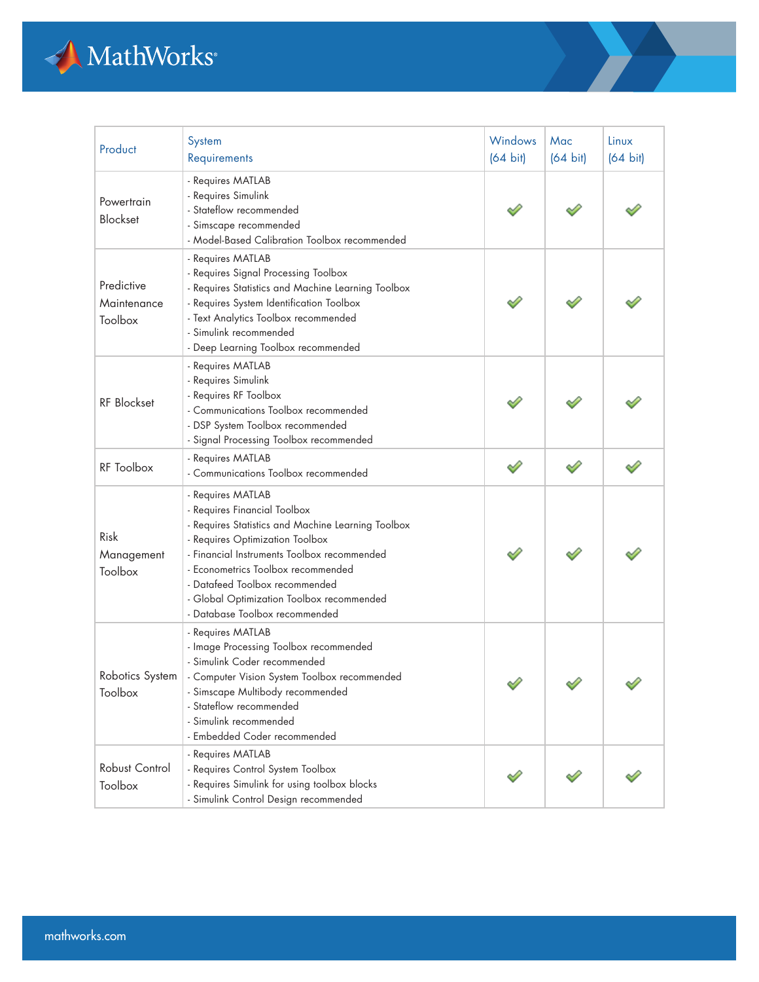

| Product                              | System<br>Requirements                                                                                                                                                                                                                                                                                                                           | Windows<br>$(64 \text{ bit})$ | Mac<br>$(64 \text{ bit})$ | Linux<br>$(64 \text{ bit})$ |
|--------------------------------------|--------------------------------------------------------------------------------------------------------------------------------------------------------------------------------------------------------------------------------------------------------------------------------------------------------------------------------------------------|-------------------------------|---------------------------|-----------------------------|
| Powertrain<br><b>Blockset</b>        | - Requires MATLAB<br>- Requires Simulink<br>- Stateflow recommended<br>- Simscape recommended<br>- Model-Based Calibration Toolbox recommended                                                                                                                                                                                                   |                               |                           |                             |
| Predictive<br>Maintenance<br>Toolbox | - Requires MATLAB<br>- Requires Signal Processing Toolbox<br>- Requires Statistics and Machine Learning Toolbox<br>- Requires System Identification Toolbox<br>- Text Analytics Toolbox recommended<br>- Simulink recommended<br>- Deep Learning Toolbox recommended                                                                             |                               |                           |                             |
| <b>RF Blockset</b>                   | - Requires MATLAB<br>- Requires Simulink<br>- Requires RF Toolbox<br>- Communications Toolbox recommended<br>- DSP System Toolbox recommended<br>- Signal Processing Toolbox recommended                                                                                                                                                         |                               |                           |                             |
| <b>RF</b> Toolbox                    | - Requires MATLAB<br>- Communications Toolbox recommended                                                                                                                                                                                                                                                                                        | ♦                             |                           |                             |
| Risk<br>Management<br>Toolbox        | - Requires MATLAB<br>- Requires Financial Toolbox<br>- Requires Statistics and Machine Learning Toolbox<br>- Requires Optimization Toolbox<br>- Financial Instruments Toolbox recommended<br>- Econometrics Toolbox recommended<br>- Datafeed Toolbox recommended<br>- Global Optimization Toolbox recommended<br>- Database Toolbox recommended |                               |                           |                             |
| Robotics System<br>Toolbox           | - Requires MATLAB<br>- Image Processing Toolbox recommended<br>- Simulink Coder recommended<br>- Computer Vision System Toolbox recommended<br>- Simscape Multibody recommended<br>- Stateflow recommended<br>- Simulink recommended<br>- Embedded Coder recommended                                                                             | ∼                             |                           |                             |
| Robust Control<br>Toolbox            | - Requires MATLAB<br>- Requires Control System Toolbox<br>- Requires Simulink for using toolbox blocks<br>- Simulink Control Design recommended                                                                                                                                                                                                  |                               |                           |                             |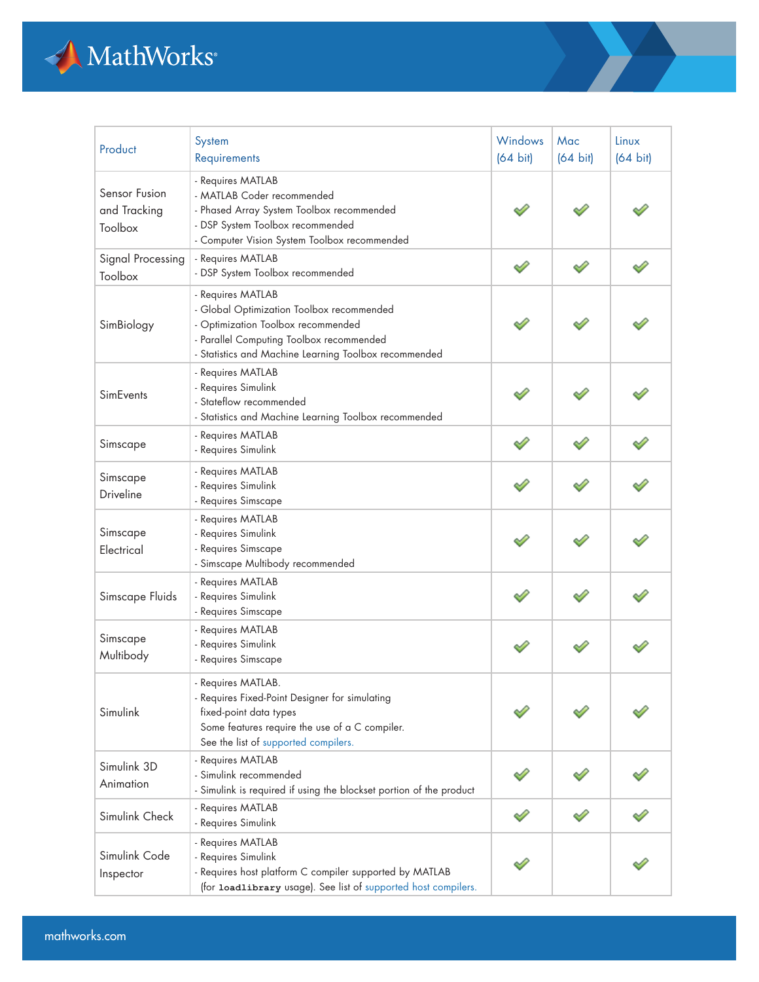

| Product                                  | System<br>Requirements                                                                                                                                                                                    | Windows<br>$(64 \text{ bit})$ | Mac<br>$(64 \text{ bit})$ | Linux<br>$(64 \text{ bit})$ |
|------------------------------------------|-----------------------------------------------------------------------------------------------------------------------------------------------------------------------------------------------------------|-------------------------------|---------------------------|-----------------------------|
| Sensor Fusion<br>and Tracking<br>Toolbox | - Requires MATLAB<br>- MATLAB Coder recommended<br>- Phased Array System Toolbox recommended<br>- DSP System Toolbox recommended<br>- Computer Vision System Toolbox recommended                          |                               |                           |                             |
| Signal Processing<br>Toolbox             | - Requires MATLAB<br>- DSP System Toolbox recommended                                                                                                                                                     | ✅                             |                           |                             |
| SimBiology                               | - Requires MATLAB<br>- Global Optimization Toolbox recommended<br>- Optimization Toolbox recommended<br>- Parallel Computing Toolbox recommended<br>- Statistics and Machine Learning Toolbox recommended |                               |                           |                             |
| SimEvents                                | - Requires MATLAB<br>- Requires Simulink<br>- Stateflow recommended<br>- Statistics and Machine Learning Toolbox recommended                                                                              |                               |                           |                             |
| Simscape                                 | - Requires MATLAB<br>- Requires Simulink                                                                                                                                                                  |                               |                           |                             |
| Simscape<br>Driveline                    | - Requires MATLAB<br>- Requires Simulink<br>- Requires Simscape                                                                                                                                           |                               |                           |                             |
| Simscape<br>Electrical                   | - Requires MATLAB<br>- Requires Simulink<br>- Requires Simscape<br>- Simscape Multibody recommended                                                                                                       |                               |                           |                             |
| Simscape Fluids                          | - Requires MATLAB<br>- Requires Simulink<br>- Requires Simscape                                                                                                                                           |                               |                           |                             |
| Simscape<br>Multibody                    | - Requires MATLAB<br>- Requires Simulink<br>- Requires Simscape                                                                                                                                           |                               |                           |                             |
| Simulink                                 | Requires MATLAB.<br>- Requires Fixed-Point Designer for simulating<br>fixed-point data types<br>Some features require the use of a C compiler.<br>See the list of supported compilers.                    |                               |                           |                             |
| Simulink 3D<br>Animation                 | - Requires MATLAB<br>- Simulink recommended<br>- Simulink is required if using the blockset portion of the product                                                                                        |                               |                           |                             |
| Simulink Check                           | - Requires MATLAB<br>- Requires Simulink                                                                                                                                                                  |                               |                           |                             |
| Simulink Code<br>Inspector               | - Requires MATLAB<br>- Requires Simulink<br>- Requires host platform C compiler supported by MATLAB<br>(for loadlibrary usage). See list of supported host compilers.                                     |                               |                           |                             |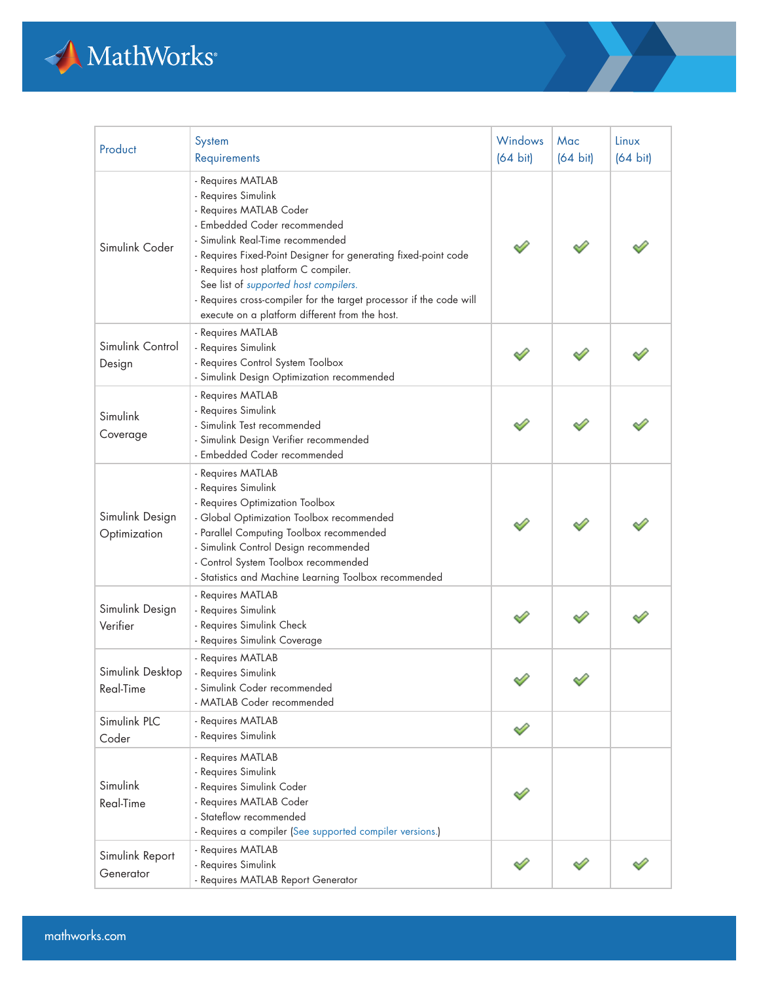

| Product                         | System<br>Requirements                                                                                                                                                                                                                                                                                                                                                                                               | Windows<br>$(64 \text{ bit})$ | Mac<br>$(64 \text{ bit})$ | Linux<br>$(64 \text{ bit})$ |
|---------------------------------|----------------------------------------------------------------------------------------------------------------------------------------------------------------------------------------------------------------------------------------------------------------------------------------------------------------------------------------------------------------------------------------------------------------------|-------------------------------|---------------------------|-----------------------------|
| Simulink Coder                  | - Requires MATLAB<br>- Requires Simulink<br>- Requires MATLAB Coder<br>- Embedded Coder recommended<br>- Simulink Real-Time recommended<br>- Requires Fixed-Point Designer for generating fixed-point code<br>- Requires host platform C compiler.<br>See list of supported host compilers.<br>- Requires cross-compiler for the target processor if the code will<br>execute on a platform different from the host. |                               |                           |                             |
| Simulink Control<br>Design      | - Requires MATLAB<br>- Requires Simulink<br>- Requires Control System Toolbox<br>- Simulink Design Optimization recommended                                                                                                                                                                                                                                                                                          |                               |                           |                             |
| Simulink<br>Coverage            | - Requires MATLAB<br>- Requires Simulink<br>- Simulink Test recommended<br>- Simulink Design Verifier recommended<br>- Embedded Coder recommended                                                                                                                                                                                                                                                                    |                               |                           |                             |
| Simulink Design<br>Optimization | - Requires MATLAB<br>- Requires Simulink<br>- Requires Optimization Toolbox<br>- Global Optimization Toolbox recommended<br>- Parallel Computing Toolbox recommended<br>- Simulink Control Design recommended<br>- Control System Toolbox recommended<br>- Statistics and Machine Learning Toolbox recommended                                                                                                       |                               |                           |                             |
| Simulink Design<br>Verifier     | - Requires MATLAB<br>- Requires Simulink<br>- Requires Simulink Check<br>- Requires Simulink Coverage                                                                                                                                                                                                                                                                                                                |                               |                           |                             |
| Simulink Desktop<br>Real-Time   | - Requires MATLAB<br>- Requires Simulink<br>- Simulink Coder recommended<br>- MATLAB Coder recommended                                                                                                                                                                                                                                                                                                               |                               |                           |                             |
| Simulink PLC<br>Coder           | - Requires MATLAB<br>- Requires Simulink                                                                                                                                                                                                                                                                                                                                                                             |                               |                           |                             |
| Simulink<br>Real-Time           | - Requires MATLAB<br>- Requires Simulink<br>- Requires Simulink Coder<br>- Requires MATLAB Coder<br>- Stateflow recommended<br>- Requires a compiler (See supported compiler versions.)                                                                                                                                                                                                                              |                               |                           |                             |
| Simulink Report<br>Generator    | - Requires MATLAB<br>- Requires Simulink<br>- Requires MATLAB Report Generator                                                                                                                                                                                                                                                                                                                                       |                               |                           |                             |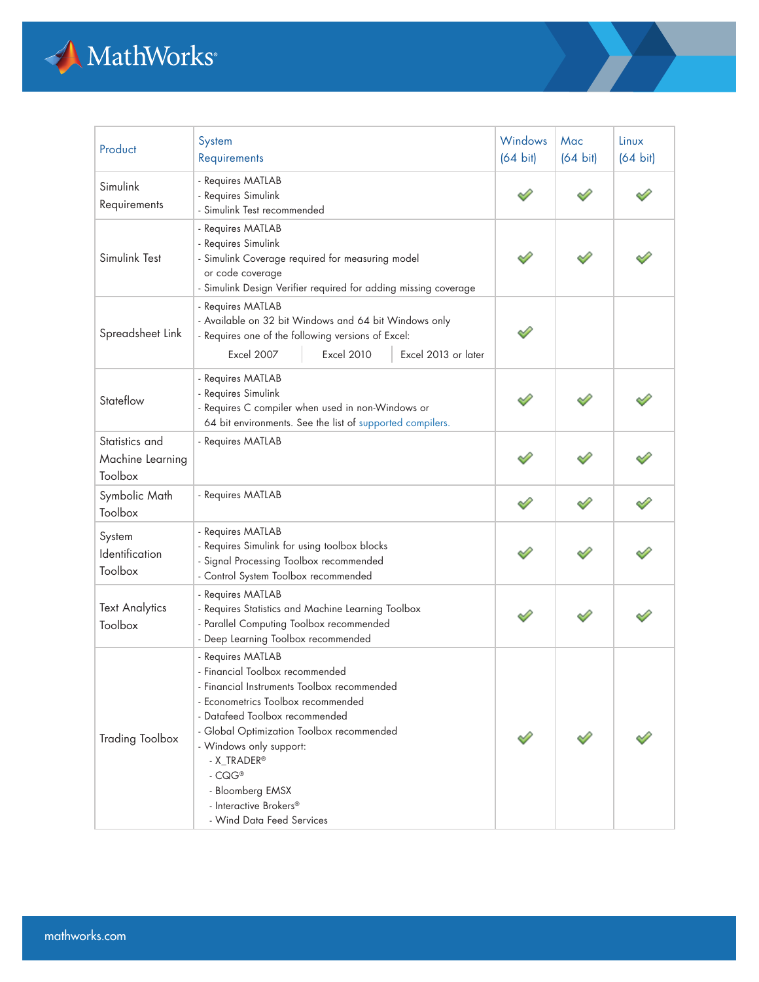

| Product                                              | System<br>Requirements                                                                                                                                                                                                                                                                                                                                    | <b>Windows</b><br>$(64 \text{ bit})$ | Mac<br>$(64 \text{ bit})$ | Linux<br>$(64 \text{ bit})$ |
|------------------------------------------------------|-----------------------------------------------------------------------------------------------------------------------------------------------------------------------------------------------------------------------------------------------------------------------------------------------------------------------------------------------------------|--------------------------------------|---------------------------|-----------------------------|
| Simulink<br>Requirements                             | - Requires MATLAB<br>- Requires Simulink<br>- Simulink Test recommended                                                                                                                                                                                                                                                                                   |                                      |                           |                             |
| Simulink Test                                        | - Requires MATLAB<br>- Requires Simulink<br>- Simulink Coverage required for measuring model<br>or code coverage<br>- Simulink Design Verifier required for adding missing coverage                                                                                                                                                                       |                                      |                           |                             |
| Spreadsheet Link                                     | - Requires MATLAB<br>- Available on 32 bit Windows and 64 bit Windows only<br>- Requires one of the following versions of Excel:<br><b>Excel 2007</b><br><b>Excel 2010</b><br>Excel 2013 or later                                                                                                                                                         |                                      |                           |                             |
| Stateflow                                            | - Requires MATLAB<br>- Requires Simulink<br>- Requires C compiler when used in non-Windows or<br>64 bit environments. See the list of supported compilers.                                                                                                                                                                                                |                                      |                           |                             |
| Statistics and<br>Machine Learning<br><b>Toolbox</b> | - Requires MATLAB                                                                                                                                                                                                                                                                                                                                         |                                      |                           |                             |
| Symbolic Math<br>Toolbox                             | - Requires MATLAB                                                                                                                                                                                                                                                                                                                                         |                                      |                           |                             |
| System<br>Identification<br>Toolbox                  | - Requires MATLAB<br>- Requires Simulink for using toolbox blocks<br>- Signal Processing Toolbox recommended<br>- Control System Toolbox recommended                                                                                                                                                                                                      |                                      |                           |                             |
| <b>Text Analytics</b><br>Toolbox                     | - Requires MATLAB<br>- Requires Statistics and Machine Learning Toolbox<br>- Parallel Computing Toolbox recommended<br>- Deep Learning Toolbox recommended                                                                                                                                                                                                |                                      |                           |                             |
| <b>Trading Toolbox</b>                               | - Requires MATLAB<br>- Financial Toolbox recommended<br>- Financial Instruments Toolbox recommended<br>- Econometrics Toolbox recommended<br>- Datafeed Toolbox recommended<br>- Global Optimization Toolbox recommended<br>- Windows only support:<br>- X_TRADER®<br>$-CQG^*$<br>- Bloomberg EMSX<br>- Interactive Brokers®<br>- Wind Data Feed Services |                                      |                           |                             |